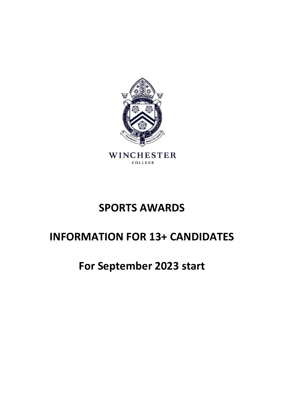

# **SPORTS AWARDS**

# **INFORMATION FOR 13+ CANDIDATES**

# **For September 2023 start**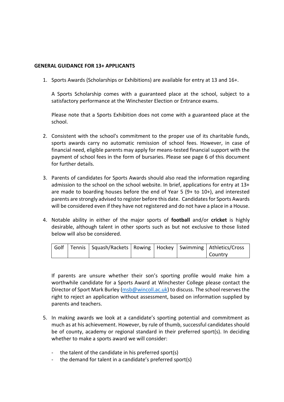### **GENERAL GUIDANCE FOR 13+ APPLICANTS**

1. Sports Awards (Scholarships or Exhibitions) are available for entry at 13 and 16+.

A Sports Scholarship comes with a guaranteed place at the school, subject to a satisfactory performance at the Winchester Election or Entrance exams.

Please note that a Sports Exhibition does not come with a guaranteed place at the school.

- 2. Consistent with the school's commitment to the proper use of its charitable funds, sports awards carry no automatic remission of school fees. However, in case of financial need, eligible parents may apply for means-tested financial support with the payment of school fees in the form of bursaries. Please see page 6 of this document for further details.
- 3. Parents of candidates for Sports Awards should also read the information regarding admission to the school on the school website. In brief, applications for entry at 13+ are made to boarding houses before the end of Year 5 (9+ to 10+), and interested parents are strongly advised to register before this date. Candidates for Sports Awards will be considered even if they have not registered and do not have a place in a House.
- 4. Notable ability in either of the major sports of **football** and/or **cricket** is highly desirable, although talent in other sports such as but not exclusive to those listed below will also be considered.

|  | Golf   Tennis   Squash/Rackets   Rowing   Hockey   Swimming   Athletics/Cross |  |         |
|--|-------------------------------------------------------------------------------|--|---------|
|  |                                                                               |  | Country |

If parents are unsure whether their son's sporting profile would make him a worthwhile candidate for a Sports Award at Winchester College please contact the Director of Sport Mark Burley [\(msb@wincoll.ac.uk\)](mailto:msb@wincoll.ac.uk) to discuss. The school reserves the right to reject an application without assessment, based on information supplied by parents and teachers.

- 5. In making awards we look at a candidate's sporting potential and commitment as much as at his achievement. However, by rule of thumb, successful candidates should be of county, academy or regional standard in their preferred sport(s). In deciding whether to make a sports award we will consider:
	- the talent of the candidate in his preferred sport(s)
	- the demand for talent in a candidate's preferred sport(s)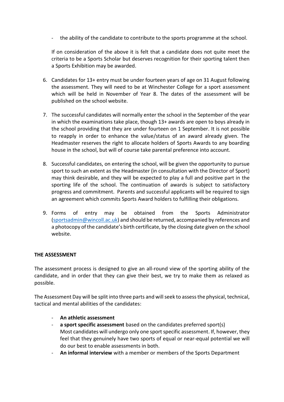- the ability of the candidate to contribute to the sports programme at the school.

If on consideration of the above it is felt that a candidate does not quite meet the criteria to be a Sports Scholar but deserves recognition for their sporting talent then a Sports Exhibition may be awarded.

- 6. Candidates for 13+ entry must be under fourteen years of age on 31 August following the assessment. They will need to be at Winchester College for a sport assessment which will be held in November of Year 8. The dates of the assessment will be published on the school website.
- 7. The successful candidates will normally enter the school in the September of the year in which the examinations take place, though 13+ awards are open to boys already in the school providing that they are under fourteen on 1 September. It is not possible to reapply in order to enhance the value/status of an award already given. The Headmaster reserves the right to allocate holders of Sports Awards to any boarding house in the school, but will of course take parental preference into account.
- 8. Successful candidates, on entering the school, will be given the opportunity to pursue sport to such an extent as the Headmaster (in consultation with the Director of Sport) may think desirable, and they will be expected to play a full and positive part in the sporting life of the school. The continuation of awards is subject to satisfactory progress and commitment. Parents and successful applicants will be required to sign an agreement which commits Sports Award holders to fulfilling their obligations.
- 9. Forms of entry may be obtained from the Sports Administrator [\(sportsadmin@wincoll.ac.uk\)](mailto:sportsadmin@wincoll.ac.uk) and should be returned, accompanied by references and a photocopy of the candidate's birth certificate, by the closing date given on the school website.

## **THE ASSESSMENT**

The assessment process is designed to give an all-round view of the sporting ability of the candidate, and in order that they can give their best, we try to make them as relaxed as possible.

The Assessment Day will be split into three parts and will seek to assess the physical, technical, tactical and mental abilities of the candidates:

- **An athletic assessment**
- a **sport specific assessment** based on the candidates preferred sport(s) Most candidates will undergo only one sport specific assessment. If, however, they feel that they genuinely have two sports of equal or near-equal potential we will do our best to enable assessments in both.
- **An informal interview** with a member or members of the Sports Department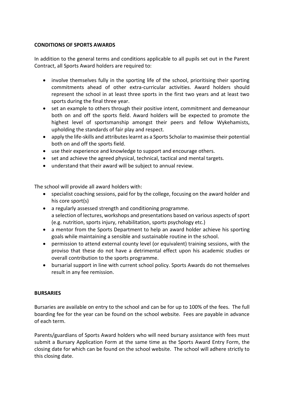### **CONDITIONS OF SPORTS AWARDS**

In addition to the general terms and conditions applicable to all pupils set out in the Parent Contract, all Sports Award holders are required to:

- involve themselves fully in the sporting life of the school, prioritising their sporting commitments ahead of other extra-curricular activities. Award holders should represent the school in at least three sports in the first two years and at least two sports during the final three year.
- set an example to others through their positive intent, commitment and demeanour both on and off the sports field. Award holders will be expected to promote the highest level of sportsmanship amongst their peers and fellow Wykehamists, upholding the standards of fair play and respect.
- apply the life-skills and attributes learnt as a Sports Scholar to maximise their potential both on and off the sports field.
- use their experience and knowledge to support and encourage others.
- set and achieve the agreed physical, technical, tactical and mental targets.
- understand that their award will be subject to annual review.

The school will provide all award holders with:

- specialist coaching sessions, paid for by the college, focusing on the award holder and his core sport(s)
- a regularly assessed strength and conditioning programme. a selection of lectures, workshops and presentations based on various aspects of sport (e.g. nutrition, sports injury, rehabilitation, sports psychology etc.)
- a mentor from the Sports Department to help an award holder achieve his sporting goals while maintaining a sensible and sustainable routine in the school.
- permission to attend external county level (or equivalent) training sessions, with the proviso that these do not have a detrimental effect upon his academic studies or overall contribution to the sports programme.
- bursarial support in line with current school policy. Sports Awards do not themselves result in any fee remission.

### **BURSARIES**

Bursaries are available on entry to the school and can be for up to 100% of the fees. The full boarding fee for the year can be found on the school website. Fees are payable in advance of each term.

Parents/guardians of Sports Award holders who will need bursary assistance with fees must submit a Bursary Application Form at the same time as the Sports Award Entry Form, the closing date for which can be found on the school website. The school will adhere strictly to this closing date.